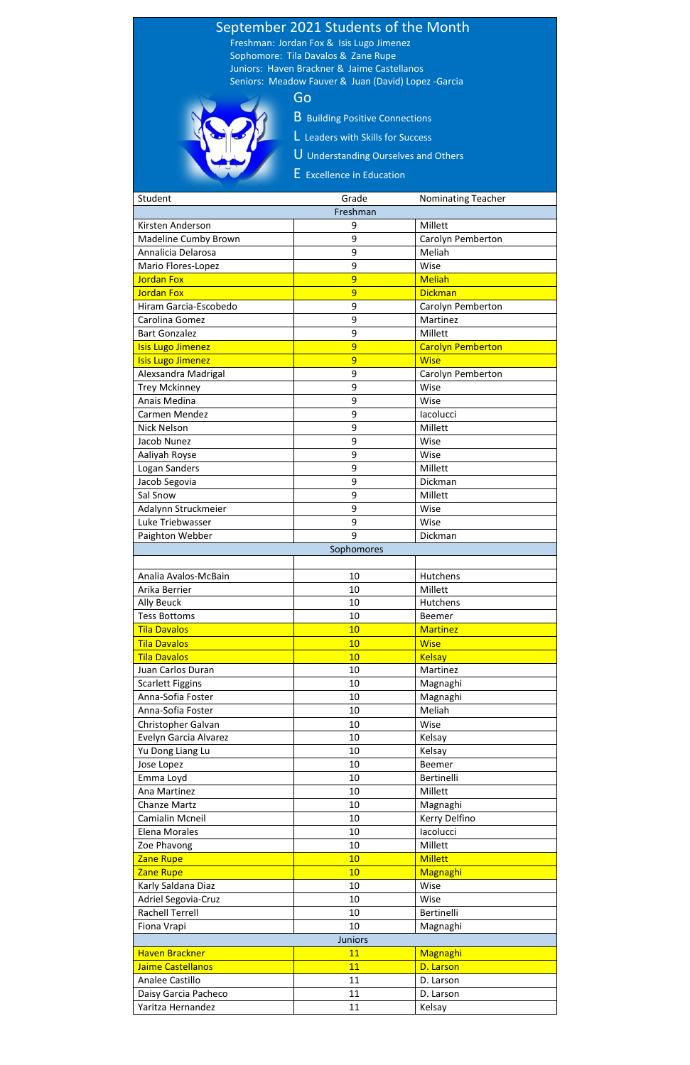## September 2021 Students of the Month Freshman: Jordan Fox & Isis Lugo Jimenez

 Sophomore: Tila Davalos & Zane Rupe Juniors: Haven Brackner & Jaime Castellanos Seniors: Meadow Fauver & Juan (David) Lopez -Garcia

- B Building Positive Connections
- L Leaders with Skills for Success
- U Understanding Ourselves and Others
- E Excellence in Education

## Go

| Student                  | Grade      | <b>Nominating Teacher</b> |  |
|--------------------------|------------|---------------------------|--|
| Freshman                 |            |                           |  |
| Kirsten Anderson         | 9          | Millett                   |  |
| Madeline Cumby Brown     | 9          | Carolyn Pemberton         |  |
| Annalicia Delarosa       | 9          | Meliah                    |  |
| Mario Flores-Lopez       | 9          | Wise                      |  |
| <b>Jordan Fox</b>        | 9          | <b>Meliah</b>             |  |
| <b>Jordan Fox</b>        | 9          | <b>Dickman</b>            |  |
| Hiram Garcia-Escobedo    | 9          | Carolyn Pemberton         |  |
| Carolina Gomez           | 9          | Martinez                  |  |
| <b>Bart Gonzalez</b>     | 9          | Millett                   |  |
| <b>Isis Lugo Jimenez</b> | 9          | <b>Carolyn Pemberton</b>  |  |
| <b>Isis Lugo Jimenez</b> | 9          | <b>Wise</b>               |  |
| Alexsandra Madrigal      | 9          | Carolyn Pemberton         |  |
| <b>Trey Mckinney</b>     | 9          | Wise                      |  |
| Anais Medina             | 9          | Wise                      |  |
| Carmen Mendez            | 9          | lacolucci                 |  |
| <b>Nick Nelson</b>       | 9          | Millett                   |  |
| Jacob Nunez              | 9          | Wise                      |  |
| Aaliyah Royse            | 9          | Wise                      |  |
| Logan Sanders            | 9          | Millett                   |  |
| Jacob Segovia            | 9          | Dickman                   |  |
| Sal Snow                 | 9          | Millett                   |  |
|                          |            |                           |  |
| Adalynn Struckmeier      | 9          | Wise                      |  |
| Luke Triebwasser         | 9          | Wise                      |  |
| Paighton Webber          | 9          | Dickman                   |  |
|                          | Sophomores |                           |  |
|                          |            |                           |  |
| Analia Avalos-McBain     | 10         | Hutchens                  |  |
| Arika Berrier            | 10         | Millett                   |  |
| <b>Ally Beuck</b>        | 10         | Hutchens                  |  |
| <b>Tess Bottoms</b>      | 10         | Beemer                    |  |
| <b>Tila Davalos</b>      | 10         | <b>Martinez</b>           |  |
| <b>Tila Davalos</b>      | 10         | <b>Wise</b>               |  |
| <b>Tila Davalos</b>      | 10         | <b>Kelsay</b>             |  |
| Juan Carlos Duran        | 10         | Martinez                  |  |
| <b>Scarlett Figgins</b>  | 10         | Magnaghi                  |  |
| Anna-Sofia Foster        | 10         | Magnaghi                  |  |
| Anna-Sofia Foster        | 10         | Meliah                    |  |
| Christopher Galvan       | 10         | Wise                      |  |
| Evelyn Garcia Alvarez    | 10         | Kelsay                    |  |
| Yu Dong Liang Lu         | 10         | Kelsay                    |  |
| Jose Lopez               | 10         | <b>Beemer</b>             |  |
| Emma Loyd                | 10         | Bertinelli                |  |
| Ana Martinez             | 10         | Millett                   |  |
| <b>Chanze Martz</b>      | 10         | Magnaghi                  |  |
| Camialin Mcneil          | 10         | Kerry Delfino             |  |
| <b>Elena Morales</b>     | 10         | lacolucci                 |  |
| Zoe Phavong              | 10         | Millett                   |  |
| <b>Zane Rupe</b>         | 10         | <b>Millett</b>            |  |
| Zane Rupe                | 10         | Magnaghi                  |  |
| Karly Saldana Diaz       | 10         | Wise                      |  |
| Adriel Segovia-Cruz      | 10         | Wise                      |  |
| <b>Rachell Terrell</b>   | 10         | Bertinelli                |  |
| Fiona Vrapi              | 10         | Magnaghi                  |  |
| <b>Juniors</b>           |            |                           |  |
| <b>Haven Brackner</b>    | 11         | Magnaghi                  |  |
| Jaime Castellanos        | 11         | D. Larson                 |  |
| Analee Castillo          | 11         | D. Larson                 |  |
| Daisy Garcia Pacheco     | 11         | D. Larson                 |  |
| Yaritza Hernandez        | 11         | Kelsay                    |  |